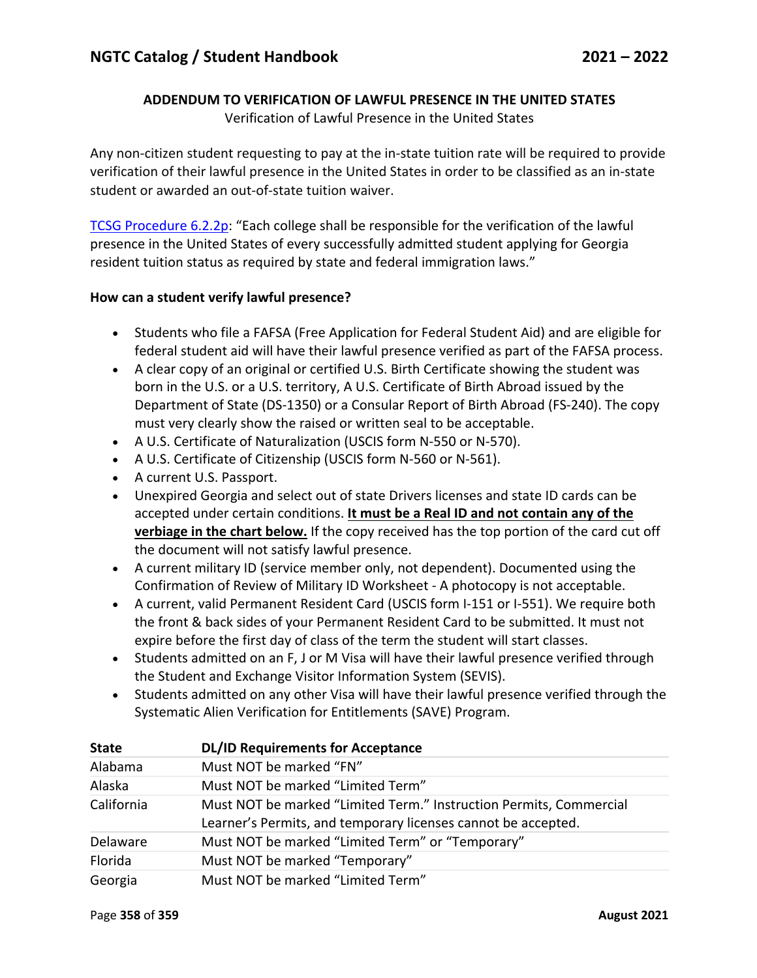## **ADDENDUM TO VERIFICATION OF LAWFUL PRESENCE IN THE UNITED STATES**

Verification of Lawful Presence in the United States

Any non-citizen student requesting to pay at the in-state tuition rate will be required to provide verification of their lawful presence in the United States in order to be classified as an in-state student or awarded an out-of-state tuition waiver.

TCSG Procedure 6.2.2p: "Each college shall be responsible for the verification of the lawful presence in the United States of every successfully admitted student applying for Georgia resident tuition status as required by state and federal immigration laws."

## **How can a student verify lawful presence?**

- Students who file a FAFSA (Free Application for Federal Student Aid) and are eligible for federal student aid will have their lawful presence verified as part of the FAFSA process.
- A clear copy of an original or certified U.S. Birth Certificate showing the student was born in the U.S. or a U.S. territory, A U.S. Certificate of Birth Abroad issued by the Department of State (DS-1350) or a Consular Report of Birth Abroad (FS-240). The copy must very clearly show the raised or written seal to be acceptable.
- A U.S. Certificate of Naturalization (USCIS form N-550 or N-570).
- A U.S. Certificate of Citizenship (USCIS form N-560 or N-561).
- A current U.S. Passport.
- Unexpired Georgia and select out of state Drivers licenses and state ID cards can be accepted under certain conditions. **It must be a Real ID and not contain any of the verbiage in the chart below.** If the copy received has the top portion of the card cut off the document will not satisfy lawful presence.
- A current military ID (service member only, not dependent). Documented using the Confirmation of Review of Military ID Worksheet - A photocopy is not acceptable.
- A current, valid Permanent Resident Card (USCIS form I-151 or I-551). We require both the front & back sides of your Permanent Resident Card to be submitted. It must not expire before the first day of class of the term the student will start classes.
- Students admitted on an F, J or M Visa will have their lawful presence verified through the Student and Exchange Visitor Information System (SEVIS).
- Students admitted on any other Visa will have their lawful presence verified through the Systematic Alien Verification for Entitlements (SAVE) Program.

| <b>State</b> | <b>DL/ID Requirements for Acceptance</b>                           |
|--------------|--------------------------------------------------------------------|
| Alabama      | Must NOT be marked "FN"                                            |
| Alaska       | Must NOT be marked "Limited Term"                                  |
| California   | Must NOT be marked "Limited Term." Instruction Permits, Commercial |
|              | Learner's Permits, and temporary licenses cannot be accepted.      |
| Delaware     | Must NOT be marked "Limited Term" or "Temporary"                   |
| Florida      | Must NOT be marked "Temporary"                                     |
| Georgia      | Must NOT be marked "Limited Term"                                  |